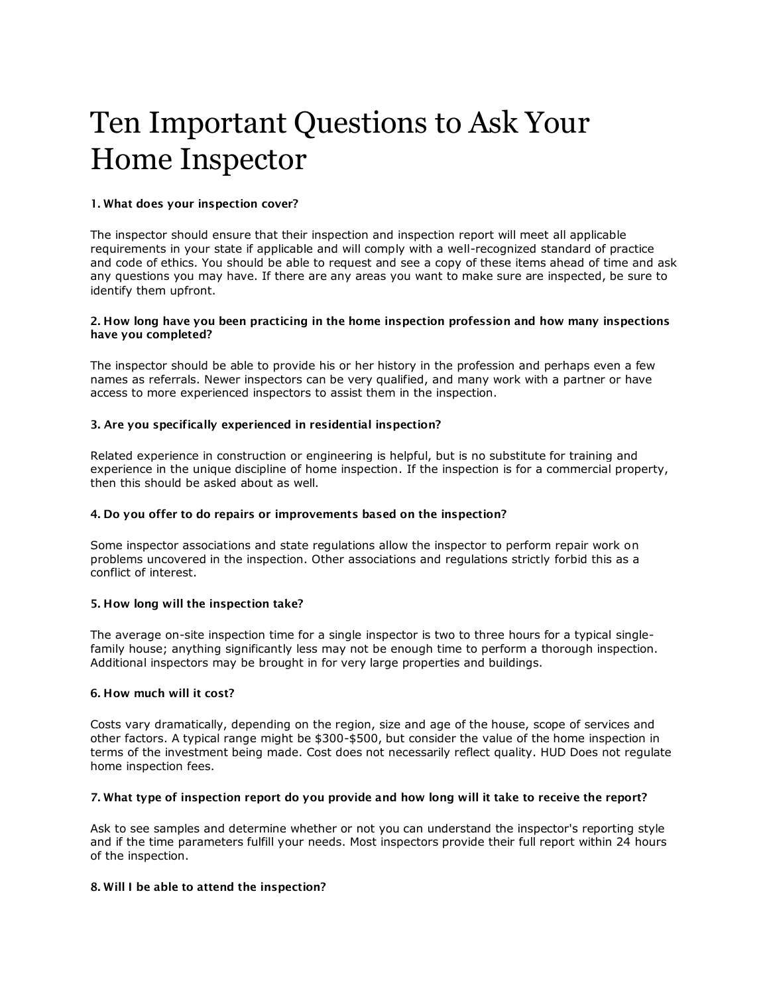# Ten Important Questions to Ask Your Home Inspector

## 1. What does your inspection cover?

The inspector should ensure that their inspection and inspection report will meet all applicable requirements in your state if applicable and will comply with a well-recognized standard of practice and code of ethics. You should be able to request and see a copy of these items ahead of time and ask any questions you may have. If there are any areas you want to make sure are inspected, be sure to identify them upfront.

#### 2. How long have you been practicing in the home inspection profession and how many inspections have you completed?

The inspector should be able to provide his or her history in the profession and perhaps even a few names as referrals. Newer inspectors can be very qualified, and many work with a partner or have access to more experienced inspectors to assist them in the inspection.

## 3. Are you specifically experienced in residential inspection?

Related experience in construction or engineering is helpful, but is no substitute for training and experience in the unique discipline of home inspection. If the inspection is for a commercial property, then this should be asked about as well.

#### 4. Do you offer to do repairs or improvements based on the inspection?

Some inspector associations and state regulations allow the inspector to perform repair work on problems uncovered in the inspection. Other associations and regulations strictly forbid this as a conflict of interest.

# 5. How long will the inspection take?

The average on-site inspection time for a single inspector is two to three hours for a typical singlefamily house; anything significantly less may not be enough time to perform a thorough inspection. Additional inspectors may be brought in for very large properties and buildings.

#### 6. How much will it cost?

Costs vary dramatically, depending on the region, size and age of the house, scope of services and other factors. A typical range might be \$300-\$500, but consider the value of the home inspection in terms of the investment being made. Cost does not necessarily reflect quality. HUD Does not regulate home inspection fees.

#### 7. What type of inspection report do you provide and how long will it take to receive the report?

Ask to see samples and determine whether or not you can understand the inspector's reporting style and if the time parameters fulfill your needs. Most inspectors provide their full report within 24 hours of the inspection.

# 8. Will I be able to attend the inspection?